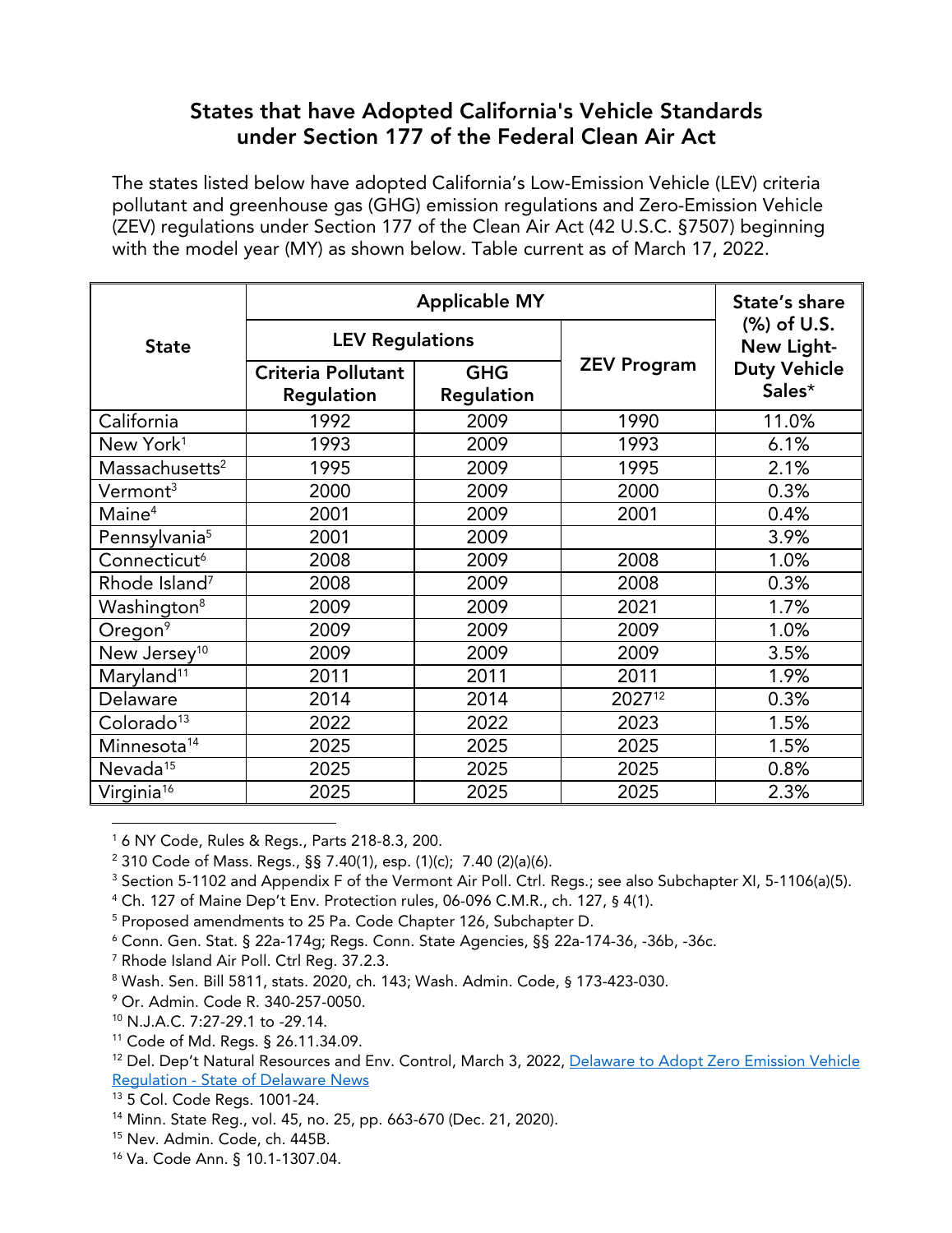## **States that have Adopted California's Vehicle Standards under Section 177 of the Federal Clean Air Act**

The states listed below have adopted California's Low-Emission Vehicle (LEV) criteria pollutant and greenhouse gas (GHG) emission regulations and Zero-Emission Vehicle (ZEV) regulations under Section 177 of the Clean Air Act (42 U.S.C. §7507) beginning with the model year (MY) as shown below. Table current as of March 17, 2022.

|                            | <b>Applicable MY</b>                    |                          |                    | State's share                 |
|----------------------------|-----------------------------------------|--------------------------|--------------------|-------------------------------|
| <b>State</b>               | <b>LEV Regulations</b>                  |                          |                    | (%) of U.S.<br>New Light-     |
|                            | <b>Criteria Pollutant</b><br>Regulation | <b>GHG</b><br>Regulation | <b>ZEV Program</b> | <b>Duty Vehicle</b><br>Sales* |
| California                 | 1992                                    | 2009                     | 1990               | 11.0%                         |
| New York <sup>1</sup>      | 1993                                    | 2009                     | 1993               | 6.1%                          |
| Massachusetts <sup>2</sup> | 1995                                    | 2009                     | 1995               | 2.1%                          |
| Vermont <sup>3</sup>       | 2000                                    | 2009                     | 2000               | 0.3%                          |
| Maine <sup>4</sup>         | 2001                                    | 2009                     | 2001               | 0.4%                          |
| Pennsylvania <sup>5</sup>  | 2001                                    | 2009                     |                    | 3.9%                          |
| Connecticut <sup>6</sup>   | 2008                                    | 2009                     | 2008               | 1.0%                          |
| Rhode Island <sup>7</sup>  | 2008                                    | 2009                     | 2008               | 0.3%                          |
| Washington <sup>8</sup>    | 2009                                    | 2009                     | 2021               | 1.7%                          |
| Oregon <sup>9</sup>        | 2009                                    | 2009                     | 2009               | 1.0%                          |
| New Jersey <sup>10</sup>   | 2009                                    | 2009                     | 2009               | 3.5%                          |
| Maryland <sup>11</sup>     | 2011                                    | 2011                     | 2011               | 1.9%                          |
| Delaware                   | 2014                                    | 2014                     | 202712             | 0.3%                          |
| Colorado <sup>13</sup>     | 2022                                    | 2022                     | 2023               | 1.5%                          |
| Minnesota <sup>14</sup>    | 2025                                    | 2025                     | 2025               | 1.5%                          |
| Nevada <sup>15</sup>       | 2025                                    | 2025                     | 2025               | 0.8%                          |
| Virginia <sup>16</sup>     | 2025                                    | 2025                     | 2025               | 2.3%                          |

<span id="page-0-0"></span><sup>1</sup> 6 NY Code, Rules & Regs., Parts 218-8.3, 200.

<span id="page-0-3"></span><sup>4</sup> Ch. 127 of Maine Dep't Env. Protection rules, 06-096 C.M.R., ch. 127, § 4(1).

<span id="page-0-4"></span><sup>5</sup> Proposed amendments to 25 Pa. Code Chapter 126, Subchapter D.

<span id="page-0-6"></span><sup>7</sup> Rhode Island Air Poll. Ctrl Reg. 37.2.3.

<span id="page-0-8"></span><sup>9</sup> Or. Admin. Code R. 340-257-0050.

<span id="page-0-14"></span><sup>15</sup> Nev. Admin. Code, ch. 445B.

<span id="page-0-1"></span><sup>2</sup> 310 Code of Mass. Regs., §§ 7.40(1), esp. (1)(c); 7.40 (2)(a)(6).

<span id="page-0-2"></span><sup>&</sup>lt;sup>3</sup> Section 5-1102 and Appendix F of the Vermont Air Poll. Ctrl. Regs.; see also Subchapter XI, 5-1106(a)(5).

<span id="page-0-5"></span> $6$  Conn. Gen. Stat. § 22a-174q; Regs. Conn. State Agencies, §§ 22a-174-36, -36b, -36c.

<span id="page-0-7"></span><sup>8</sup> Wash. Sen. Bill 5811, stats. 2020, ch. 143; Wash. Admin. Code, § 173-423-030.

<span id="page-0-9"></span><sup>10</sup> N.J.A.C. 7:27-29.1 to -29.14.

<span id="page-0-10"></span><sup>11</sup> Code of Md. Regs. § 26.11.34.09.

<span id="page-0-11"></span><sup>&</sup>lt;sup>12</sup> Del. Dep't Natural Resources and Env. Control, March 3, 2022, [Delaware](https://news.delaware.gov/2022/03/03/delaware-to-adopt-zero-emission-vehicle-regulation/) to Adopt Zero Emission Vehicle [Regulation](https://news.delaware.gov/2022/03/03/delaware-to-adopt-zero-emission-vehicle-regulation/) - State of Delaware News

<span id="page-0-12"></span><sup>13</sup> 5 Col. Code Regs. 1001-24.

<span id="page-0-13"></span><sup>14</sup> Minn. State Reg., vol. 45, no. 25, pp. 663-670 (Dec. 21, 2020).

<span id="page-0-15"></span><sup>16</sup> Va. Code Ann. § 10.1-1307.04.